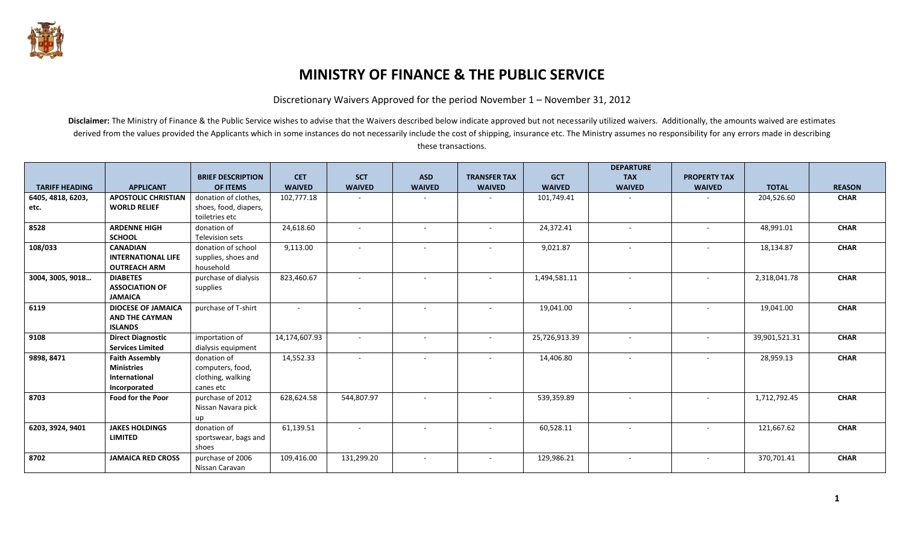

## **MINISTRY OF FINANCE & THE PUBLIC SERVICE**

Discretionary Waivers Approved for the period November 1 – November 31, 2012

Disclaimer: The Ministry of Finance & the Public Service wishes to advise that the Waivers described below indicate approved but not necessarily utilized waivers. Additionally, the amounts waived are estimates derived from the values provided the Applicants which in some instances do not necessarily include the cost of shipping, insurance etc. The Ministry assumes no responsibility for any errors made in describing these transactions.

|                       |                                                                             | <b>BRIEF DESCRIPTION</b>                                          | <b>CET</b>    | <b>SCT</b>    | <b>ASD</b>               | <b>TRANSFER TAX</b>      | <b>GCT</b>    | <b>DEPARTURE</b><br><b>TAX</b> | <b>PROPERTY TAX</b>      |               |               |
|-----------------------|-----------------------------------------------------------------------------|-------------------------------------------------------------------|---------------|---------------|--------------------------|--------------------------|---------------|--------------------------------|--------------------------|---------------|---------------|
| <b>TARIFF HEADING</b> | <b>APPLICANT</b>                                                            | <b>OF ITEMS</b>                                                   | <b>WAIVED</b> | <b>WAIVED</b> | <b>WAIVED</b>            | <b>WAIVED</b>            | <b>WAIVED</b> | <b>WAIVED</b>                  | <b>WAIVED</b>            | <b>TOTAL</b>  | <b>REASON</b> |
| 6405, 4818, 6203,     | <b>APOSTOLIC CHRISTIAN</b>                                                  | donation of clothes,                                              | 102,777.18    |               |                          |                          | 101,749.41    |                                |                          | 204,526.60    | <b>CHAR</b>   |
| etc.                  | <b>WORLD RELIEF</b>                                                         | shoes, food, diapers,<br>toiletries etc                           |               |               |                          |                          |               |                                |                          |               |               |
| 8528                  | <b>ARDENNE HIGH</b><br><b>SCHOOL</b>                                        | donation of<br>Television sets                                    | 24,618.60     |               | $\sim$                   | $\sim$                   | 24,372.41     | $\overline{\phantom{a}}$       |                          | 48,991.01     | <b>CHAR</b>   |
| 108/033               | <b>CANADIAN</b><br><b>INTERNATIONAL LIFE</b><br><b>OUTREACH ARM</b>         | donation of school<br>supplies, shoes and<br>household            | 9,113.00      |               | $\sim$                   |                          | 9,021.87      | $\blacksquare$                 |                          | 18,134.87     | <b>CHAR</b>   |
| 3004, 3005, 9018      | <b>DIABETES</b><br><b>ASSOCIATION OF</b><br><b>JAMAICA</b>                  | purchase of dialysis<br>supplies                                  | 823,460.67    |               | $\sim$                   | $\overline{\phantom{a}}$ | 1,494,581.11  | $\overline{\phantom{a}}$       |                          | 2,318,041.78  | <b>CHAR</b>   |
| 6119                  | <b>DIOCESE OF JAMAICA</b><br><b>AND THE CAYMAN</b><br><b>ISLANDS</b>        | purchase of T-shirt                                               |               |               |                          |                          | 19,041.00     |                                |                          | 19,041.00     | <b>CHAR</b>   |
| 9108                  | <b>Direct Diagnostic</b><br><b>Services Limited</b>                         | importation of<br>dialysis equipment                              | 14,174,607.93 | $\sim$        | $\sim$                   | $\sim$                   | 25,726,913.39 | $\sim$                         | $\overline{\phantom{a}}$ | 39,901,521.31 | <b>CHAR</b>   |
| 9898, 8471            | <b>Faith Assembly</b><br><b>Ministries</b><br>International<br>Incorporated | donation of<br>computers, food,<br>clothing, walking<br>canes etc | 14,552.33     |               | $\overline{\phantom{a}}$ |                          | 14,406.80     | $\blacksquare$                 |                          | 28,959.13     | <b>CHAR</b>   |
| 8703                  | <b>Food for the Poor</b>                                                    | purchase of 2012<br>Nissan Navara pick<br>up                      | 628,624.58    | 544,807.97    | $\sim$                   | $\overline{\phantom{a}}$ | 539,359.89    | $\overline{\phantom{a}}$       |                          | 1,712,792.45  | <b>CHAR</b>   |
| 6203, 3924, 9401      | <b>JAKES HOLDINGS</b><br><b>LIMITED</b>                                     | donation of<br>sportswear, bags and<br>shoes                      | 61,139.51     |               | $\overline{\phantom{a}}$ |                          | 60,528.11     | $\overline{\phantom{a}}$       |                          | 121,667.62    | <b>CHAR</b>   |
| 8702                  | <b>JAMAICA RED CROSS</b>                                                    | purchase of 2006<br>Nissan Caravan                                | 109,416.00    | 131,299.20    | ٠                        | ٠                        | 129,986.21    | $\overline{\phantom{a}}$       |                          | 370,701.41    | <b>CHAR</b>   |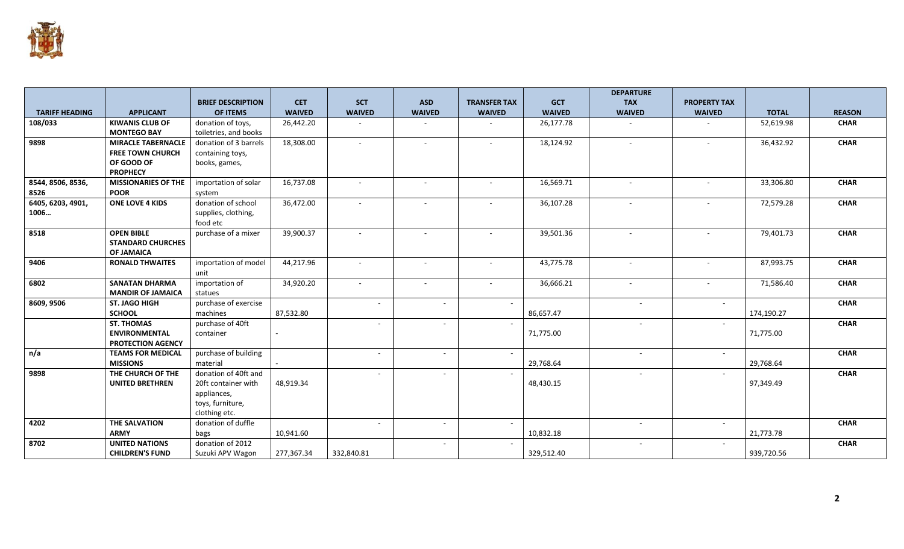

|                       |                            |                          |               |                          |                          |                          |               | <b>DEPARTURE</b>         |                          |              |               |
|-----------------------|----------------------------|--------------------------|---------------|--------------------------|--------------------------|--------------------------|---------------|--------------------------|--------------------------|--------------|---------------|
|                       |                            | <b>BRIEF DESCRIPTION</b> | <b>CET</b>    | <b>SCT</b>               | <b>ASD</b>               | <b>TRANSFER TAX</b>      | <b>GCT</b>    | <b>TAX</b>               | <b>PROPERTY TAX</b>      |              |               |
| <b>TARIFF HEADING</b> | <b>APPLICANT</b>           | <b>OF ITEMS</b>          | <b>WAIVED</b> | <b>WAIVED</b>            | <b>WAIVED</b>            | <b>WAIVED</b>            | <b>WAIVED</b> | <b>WAIVED</b>            | <b>WAIVED</b>            | <b>TOTAL</b> | <b>REASON</b> |
| 108/033               | <b>KIWANIS CLUB OF</b>     | donation of toys,        | 26,442.20     |                          |                          |                          | 26,177.78     |                          |                          | 52,619.98    | <b>CHAR</b>   |
|                       | <b>MONTEGO BAY</b>         | toiletries, and books    |               |                          |                          |                          |               |                          |                          |              |               |
| 9898                  | <b>MIRACLE TABERNACLE</b>  | donation of 3 barrels    | 18,308.00     | $\overline{\phantom{a}}$ | $\overline{a}$           | $\overline{\phantom{a}}$ | 18,124.92     | $\sim$                   |                          | 36,432.92    | <b>CHAR</b>   |
|                       | <b>FREE TOWN CHURCH</b>    | containing toys,         |               |                          |                          |                          |               |                          |                          |              |               |
|                       | OF GOOD OF                 | books, games,            |               |                          |                          |                          |               |                          |                          |              |               |
|                       | <b>PROPHECY</b>            |                          |               |                          |                          |                          |               |                          |                          |              |               |
| 8544, 8506, 8536,     | <b>MISSIONARIES OF THE</b> | importation of solar     | 16,737.08     | ÷.                       |                          |                          | 16,569.71     | $\sim$                   |                          | 33,306.80    | <b>CHAR</b>   |
| 8526                  | <b>POOR</b>                | system                   |               |                          |                          |                          |               |                          |                          |              |               |
| 6405, 6203, 4901,     | <b>ONE LOVE 4 KIDS</b>     | donation of school       | 36,472.00     | $\sim$                   |                          | $\overline{\phantom{a}}$ | 36,107.28     | $\sim$                   |                          | 72,579.28    | <b>CHAR</b>   |
| 1006                  |                            | supplies, clothing,      |               |                          |                          |                          |               |                          |                          |              |               |
|                       |                            | food etc                 |               |                          |                          |                          |               |                          |                          |              |               |
| 8518                  | <b>OPEN BIBLE</b>          | purchase of a mixer      | 39,900.37     |                          |                          | $\blacksquare$           | 39,501.36     | $\sim$                   |                          | 79,401.73    | <b>CHAR</b>   |
|                       | <b>STANDARD CHURCHES</b>   |                          |               |                          |                          |                          |               |                          |                          |              |               |
|                       | <b>OF JAMAICA</b>          |                          |               |                          |                          |                          |               |                          |                          |              |               |
| 9406                  | <b>RONALD THWAITES</b>     | importation of model     | 44,217.96     | $\sim$                   | $\sim$                   | $\overline{\phantom{a}}$ | 43,775.78     | $\sim$                   | $\overline{\phantom{a}}$ | 87,993.75    | <b>CHAR</b>   |
|                       |                            | unit                     |               |                          |                          |                          |               |                          |                          |              |               |
| 6802                  | <b>SANATAN DHARMA</b>      | importation of           | 34,920.20     | $\sim$                   | $\sim$                   | $\sim$                   | 36,666.21     | $\sim$                   | $\sim$                   | 71,586.40    | <b>CHAR</b>   |
|                       | <b>MANDIR OF JAMAICA</b>   | statues                  |               |                          |                          |                          |               |                          |                          |              |               |
| 8609, 9506            | <b>ST. JAGO HIGH</b>       | purchase of exercise     |               |                          | $\overline{\phantom{a}}$ | $\sim$                   |               | $\sim$                   | $\sim$                   |              | <b>CHAR</b>   |
|                       | <b>SCHOOL</b>              | machines                 | 87,532.80     |                          |                          |                          | 86,657.47     |                          |                          | 174,190.27   |               |
|                       | <b>ST. THOMAS</b>          | purchase of 40ft         |               |                          | ÷.                       | $\sim$                   |               | $\sim$                   | $\sim$                   |              | <b>CHAR</b>   |
|                       | <b>ENVIRONMENTAL</b>       | container                |               |                          |                          |                          | 71,775.00     |                          |                          | 71,775.00    |               |
|                       | <b>PROTECTION AGENCY</b>   |                          |               |                          |                          |                          |               |                          |                          |              |               |
| n/a                   | <b>TEAMS FOR MEDICAL</b>   | purchase of building     |               | $\sim$                   | $\sim$                   | $\sim$                   |               | $\sim$                   | $\sim$                   |              | <b>CHAR</b>   |
|                       | <b>MISSIONS</b>            | material                 |               |                          |                          |                          | 29,768.64     |                          |                          | 29,768.64    |               |
| 9898                  | THE CHURCH OF THE          | donation of 40ft and     |               | $\sim$                   | $\sim$                   | $\sim$                   |               | $\overline{\phantom{a}}$ | $\sim$                   |              | <b>CHAR</b>   |
|                       | <b>UNITED BRETHREN</b>     | 20ft container with      | 48,919.34     |                          |                          |                          | 48,430.15     |                          |                          | 97,349.49    |               |
|                       |                            | appliances,              |               |                          |                          |                          |               |                          |                          |              |               |
|                       |                            | toys, furniture,         |               |                          |                          |                          |               |                          |                          |              |               |
|                       |                            | clothing etc.            |               |                          |                          |                          |               |                          |                          |              |               |
| 4202                  | <b>THE SALVATION</b>       | donation of duffle       |               |                          | $\sim$                   | $\sim$                   |               | $\sim$                   | $\sim$                   |              | <b>CHAR</b>   |
|                       | <b>ARMY</b>                | bags                     | 10,941.60     |                          |                          |                          | 10,832.18     |                          |                          | 21,773.78    |               |
| 8702                  | <b>UNITED NATIONS</b>      | donation of 2012         |               |                          | $\sim$                   | $\sim$                   |               | $\sim$                   |                          |              | <b>CHAR</b>   |
|                       | <b>CHILDREN'S FUND</b>     | Suzuki APV Wagon         | 277,367.34    | 332,840.81               |                          |                          | 329,512.40    |                          |                          | 939,720.56   |               |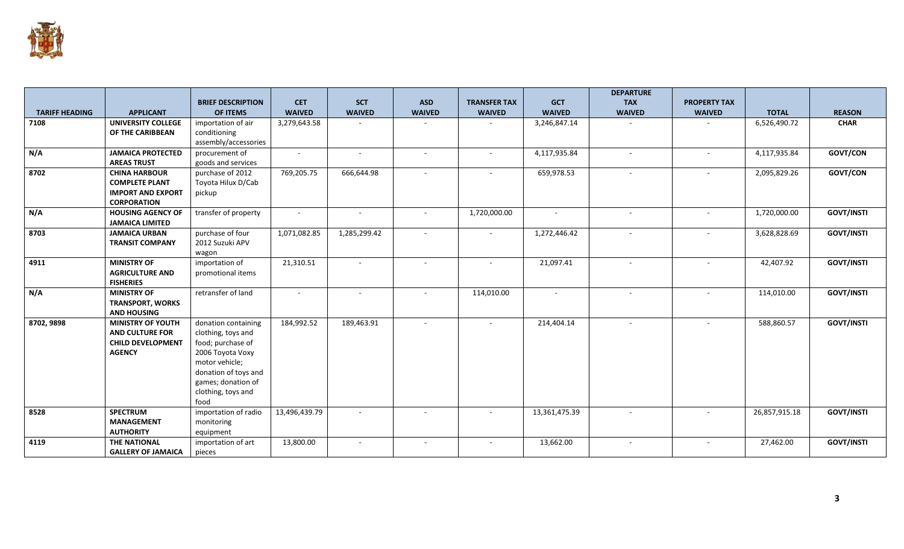

|                       |                           |                          |               |               |               |                          |               | <b>DEPARTURE</b> |                          |               |                   |
|-----------------------|---------------------------|--------------------------|---------------|---------------|---------------|--------------------------|---------------|------------------|--------------------------|---------------|-------------------|
|                       |                           | <b>BRIEF DESCRIPTION</b> | <b>CET</b>    | <b>SCT</b>    | <b>ASD</b>    | <b>TRANSFER TAX</b>      | <b>GCT</b>    | <b>TAX</b>       | <b>PROPERTY TAX</b>      |               |                   |
| <b>TARIFF HEADING</b> | <b>APPLICANT</b>          | OF ITEMS                 | <b>WAIVED</b> | <b>WAIVED</b> | <b>WAIVED</b> | <b>WAIVED</b>            | <b>WAIVED</b> | <b>WAIVED</b>    | <b>WAIVED</b>            | <b>TOTAL</b>  | <b>REASON</b>     |
| 7108                  | <b>UNIVERSITY COLLEGE</b> | importation of air       | 3,279,643.58  |               |               |                          | 3,246,847.14  |                  |                          | 6,526,490.72  | <b>CHAR</b>       |
|                       | OF THE CARIBBEAN          | conditioning             |               |               |               |                          |               |                  |                          |               |                   |
|                       |                           | assembly/accessories     |               |               |               |                          |               |                  |                          |               |                   |
| N/A                   | <b>JAMAICA PROTECTED</b>  | procurement of           | $\sim$        | $\sim$        | $\sim$        | $\overline{\phantom{a}}$ | 4,117,935.84  | $\sim$           | $\overline{\phantom{a}}$ | 4,117,935.84  | GOVT/CON          |
|                       | <b>AREAS TRUST</b>        | goods and services       |               |               |               |                          |               |                  |                          |               |                   |
| 8702                  | <b>CHINA HARBOUR</b>      | purchase of 2012         | 769,205.75    | 666,644.98    |               | $\overline{\phantom{a}}$ | 659,978.53    | $\sim$           |                          | 2,095,829.26  | GOVT/CON          |
|                       | <b>COMPLETE PLANT</b>     | Toyota Hilux D/Cab       |               |               |               |                          |               |                  |                          |               |                   |
|                       | <b>IMPORT AND EXPORT</b>  | pickup                   |               |               |               |                          |               |                  |                          |               |                   |
|                       | <b>CORPORATION</b>        |                          |               |               |               |                          |               |                  |                          |               |                   |
| N/A                   | <b>HOUSING AGENCY OF</b>  | transfer of property     | $\sim$        | $\sim$        |               | 1,720,000.00             | $\sim$        | $\sim$           | $\sim$                   | 1,720,000.00  | <b>GOVT/INSTI</b> |
|                       | <b>JAMAICA LIMITED</b>    |                          |               |               |               |                          |               |                  |                          |               |                   |
| 8703                  | <b>JAMAICA URBAN</b>      | purchase of four         | 1,071,082.85  | 1,285,299.42  | $\sim$        | $\sim$                   | 1,272,446.42  | $\sim$           | $\sim$                   | 3,628,828.69  | <b>GOVT/INSTI</b> |
|                       | <b>TRANSIT COMPANY</b>    | 2012 Suzuki APV          |               |               |               |                          |               |                  |                          |               |                   |
|                       |                           | wagon                    |               |               |               |                          |               |                  |                          |               |                   |
| 4911                  | <b>MINISTRY OF</b>        | importation of           | 21,310.51     | $\sim$        | $\sim$        | $\sim$                   | 21,097.41     | $\sim$           | $\sim$                   | 42,407.92     | <b>GOVT/INSTI</b> |
|                       | <b>AGRICULTURE AND</b>    | promotional items        |               |               |               |                          |               |                  |                          |               |                   |
|                       | <b>FISHERIES</b>          |                          |               |               |               |                          |               |                  |                          |               |                   |
| N/A                   | <b>MINISTRY OF</b>        | retransfer of land       | $\sim$        | $\sim$        | $\sim$        | 114,010.00               | $\sim$        | $\sim$           | $\sim$                   | 114,010.00    | <b>GOVT/INSTI</b> |
|                       | <b>TRANSPORT, WORKS</b>   |                          |               |               |               |                          |               |                  |                          |               |                   |
|                       | <b>AND HOUSING</b>        |                          |               |               |               |                          |               |                  |                          |               |                   |
| 8702, 9898            | <b>MINISTRY OF YOUTH</b>  | donation containing      | 184,992.52    | 189,463.91    | $\sim$        | $\sim$                   | 214,404.14    | $\sim$           | $\sim$                   | 588,860.57    | <b>GOVT/INSTI</b> |
|                       | <b>AND CULTURE FOR</b>    | clothing, toys and       |               |               |               |                          |               |                  |                          |               |                   |
|                       | <b>CHILD DEVELOPMENT</b>  | food; purchase of        |               |               |               |                          |               |                  |                          |               |                   |
|                       | <b>AGENCY</b>             | 2006 Toyota Voxy         |               |               |               |                          |               |                  |                          |               |                   |
|                       |                           | motor vehicle;           |               |               |               |                          |               |                  |                          |               |                   |
|                       |                           | donation of toys and     |               |               |               |                          |               |                  |                          |               |                   |
|                       |                           | games; donation of       |               |               |               |                          |               |                  |                          |               |                   |
|                       |                           | clothing, toys and       |               |               |               |                          |               |                  |                          |               |                   |
|                       |                           | food                     |               |               |               |                          |               |                  |                          |               |                   |
| 8528                  | <b>SPECTRUM</b>           | importation of radio     | 13,496,439.79 | $\sim$        |               | $\blacksquare$           | 13,361,475.39 | $\sim$           |                          | 26,857,915.18 | <b>GOVT/INSTI</b> |
|                       | <b>MANAGEMENT</b>         | monitoring               |               |               |               |                          |               |                  |                          |               |                   |
|                       | <b>AUTHORITY</b>          | equipment                |               |               |               |                          |               |                  |                          |               |                   |
| 4119                  | THE NATIONAL              | importation of art       | 13,800.00     |               |               |                          | 13,662.00     |                  |                          | 27,462.00     | <b>GOVT/INSTI</b> |
|                       | <b>GALLERY OF JAMAICA</b> | pieces                   |               |               |               |                          |               |                  |                          |               |                   |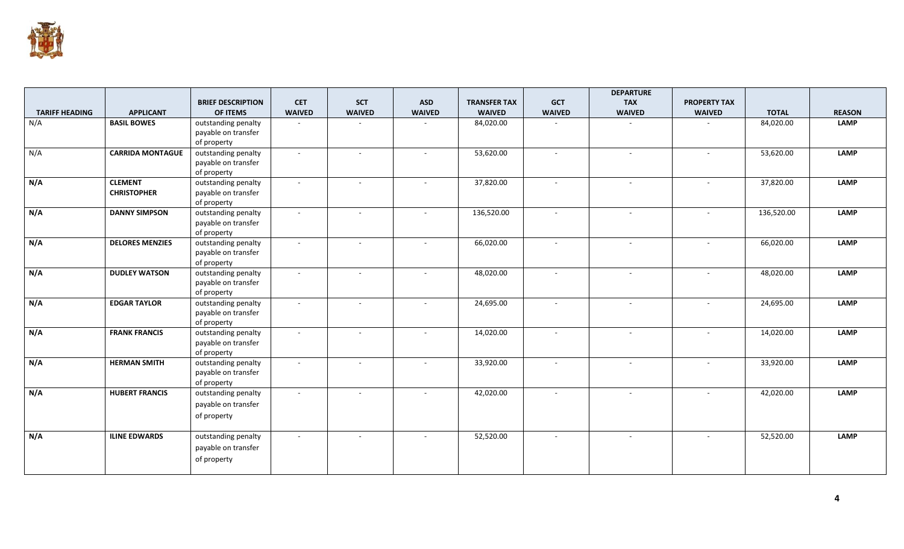

|                       |                         |                          |               |                          |               |                     |               | <b>DEPARTURE</b> |                     |              |               |
|-----------------------|-------------------------|--------------------------|---------------|--------------------------|---------------|---------------------|---------------|------------------|---------------------|--------------|---------------|
|                       |                         | <b>BRIEF DESCRIPTION</b> | <b>CET</b>    | <b>SCT</b>               | <b>ASD</b>    | <b>TRANSFER TAX</b> | <b>GCT</b>    | <b>TAX</b>       | <b>PROPERTY TAX</b> |              |               |
| <b>TARIFF HEADING</b> | <b>APPLICANT</b>        | OF ITEMS                 | <b>WAIVED</b> | <b>WAIVED</b>            | <b>WAIVED</b> | <b>WAIVED</b>       | <b>WAIVED</b> | <b>WAIVED</b>    | <b>WAIVED</b>       | <b>TOTAL</b> | <b>REASON</b> |
| N/A                   | <b>BASIL BOWES</b>      | outstanding penalty      | $\sim$        |                          |               | 84,020.00           |               |                  |                     | 84,020.00    | <b>LAMP</b>   |
|                       |                         | payable on transfer      |               |                          |               |                     |               |                  |                     |              |               |
|                       |                         | of property              |               |                          |               |                     |               |                  |                     |              |               |
| N/A                   | <b>CARRIDA MONTAGUE</b> | outstanding penalty      | $\sim$        | $\sim$                   | $\sim$        | 53,620.00           | $\sim$        | $\sim$           | $\sim$              | 53,620.00    | <b>LAMP</b>   |
|                       |                         | payable on transfer      |               |                          |               |                     |               |                  |                     |              |               |
|                       |                         | of property              |               |                          |               |                     |               |                  |                     |              |               |
| N/A                   | <b>CLEMENT</b>          | outstanding penalty      | $\omega$      | $\sim$                   | $\sim$        | 37,820.00           | $\sim$        | $\sim$           | $\sim$              | 37,820.00    | <b>LAMP</b>   |
|                       | <b>CHRISTOPHER</b>      | payable on transfer      |               |                          |               |                     |               |                  |                     |              |               |
|                       |                         | of property              |               |                          |               |                     |               |                  |                     |              |               |
| N/A                   | <b>DANNY SIMPSON</b>    | outstanding penalty      | $\sim$        | $\sim$                   | $\sim$        | 136,520.00          | $\sim$        | $\sim$           | $\sim$              | 136,520.00   | <b>LAMP</b>   |
|                       |                         | payable on transfer      |               |                          |               |                     |               |                  |                     |              |               |
|                       |                         | of property              |               |                          |               |                     |               |                  |                     |              |               |
| N/A                   | <b>DELORES MENZIES</b>  | outstanding penalty      | $\sim$        | $\sim$                   | $\sim$        | 66,020.00           | $\sim$        | $\sim$           | $\sim$              | 66,020.00    | <b>LAMP</b>   |
|                       |                         | payable on transfer      |               |                          |               |                     |               |                  |                     |              |               |
|                       |                         | of property              |               |                          |               |                     |               |                  |                     |              |               |
| N/A                   | <b>DUDLEY WATSON</b>    | outstanding penalty      | $\sim$        | $\overline{\phantom{a}}$ |               | 48,020.00           | $\sim$        | $\sim$           |                     | 48,020.00    | <b>LAMP</b>   |
|                       |                         | payable on transfer      |               |                          |               |                     |               |                  |                     |              |               |
|                       |                         | of property              |               |                          |               |                     |               |                  |                     |              |               |
| N/A                   | <b>EDGAR TAYLOR</b>     | outstanding penalty      | $\sim$        | $\overline{a}$           |               | 24,695.00           | $\sim$        | $\sim$           |                     | 24,695.00    | <b>LAMP</b>   |
|                       |                         | payable on transfer      |               |                          |               |                     |               |                  |                     |              |               |
|                       |                         | of property              |               |                          |               |                     |               |                  |                     |              |               |
| N/A                   | <b>FRANK FRANCIS</b>    | outstanding penalty      | $\sim$        | $\sim$                   |               | 14,020.00           | $\sim$        | $\sim$           | $\sim$              | 14,020.00    | <b>LAMP</b>   |
|                       |                         | payable on transfer      |               |                          |               |                     |               |                  |                     |              |               |
|                       |                         | of property              |               |                          |               |                     |               |                  |                     |              |               |
| N/A                   | <b>HERMAN SMITH</b>     | outstanding penalty      | $\sim$        | $\sim$                   | $\sim$        | 33,920.00           | $\sim$        | $\sim$           | $\sim$              | 33,920.00    | <b>LAMP</b>   |
|                       |                         | payable on transfer      |               |                          |               |                     |               |                  |                     |              |               |
|                       |                         | of property              |               |                          |               |                     |               |                  |                     |              |               |
| N/A                   | <b>HUBERT FRANCIS</b>   | outstanding penalty      | $\mathcal{L}$ | $\sim$                   | $\sim$        | 42,020.00           | $\sim$        | $\sim$           | $\sim$              | 42,020.00    | <b>LAMP</b>   |
|                       |                         | payable on transfer      |               |                          |               |                     |               |                  |                     |              |               |
|                       |                         | of property              |               |                          |               |                     |               |                  |                     |              |               |
|                       |                         |                          |               |                          |               |                     |               |                  |                     |              |               |
| N/A                   | <b>ILINE EDWARDS</b>    | outstanding penalty      | $\sim$        | $\sim$                   |               | 52,520.00           | $\sim$        | $\sim$           |                     | 52,520.00    | <b>LAMP</b>   |
|                       |                         | payable on transfer      |               |                          |               |                     |               |                  |                     |              |               |
|                       |                         | of property              |               |                          |               |                     |               |                  |                     |              |               |
|                       |                         |                          |               |                          |               |                     |               |                  |                     |              |               |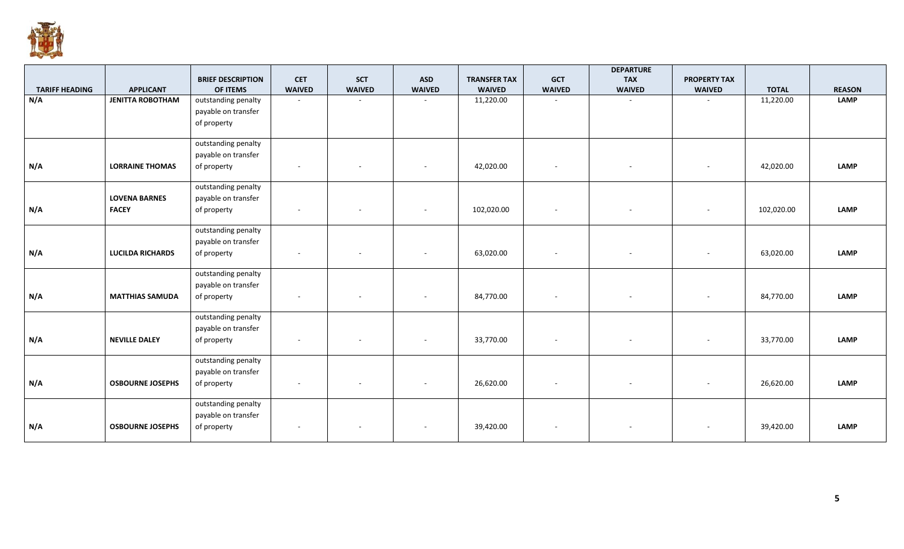

|                       |                         | <b>BRIEF DESCRIPTION</b> | <b>CET</b>               | <b>SCT</b>    | <b>ASD</b>    | <b>TRANSFER TAX</b> | <b>GCT</b>               | <b>DEPARTURE</b><br><b>TAX</b> | <b>PROPERTY TAX</b> |              |               |
|-----------------------|-------------------------|--------------------------|--------------------------|---------------|---------------|---------------------|--------------------------|--------------------------------|---------------------|--------------|---------------|
| <b>TARIFF HEADING</b> | <b>APPLICANT</b>        | OF ITEMS                 | <b>WAIVED</b>            | <b>WAIVED</b> | <b>WAIVED</b> | <b>WAIVED</b>       | <b>WAIVED</b>            | <b>WAIVED</b>                  | <b>WAIVED</b>       | <b>TOTAL</b> | <b>REASON</b> |
| N/A                   | <b>JENITTA ROBOTHAM</b> | outstanding penalty      | $\sim$                   |               |               | 11,220.00           |                          |                                |                     | 11,220.00    | <b>LAMP</b>   |
|                       |                         | payable on transfer      |                          |               |               |                     |                          |                                |                     |              |               |
|                       |                         | of property              |                          |               |               |                     |                          |                                |                     |              |               |
|                       |                         | outstanding penalty      |                          |               |               |                     |                          |                                |                     |              |               |
|                       |                         | payable on transfer      |                          |               |               |                     |                          |                                |                     |              |               |
| N/A                   | <b>LORRAINE THOMAS</b>  | of property              | $\overline{\phantom{a}}$ | $\sim$        | $\sim$        | 42,020.00           | $\overline{\phantom{a}}$ | $\sim$                         | $\sim$              | 42,020.00    | <b>LAMP</b>   |
|                       |                         | outstanding penalty      |                          |               |               |                     |                          |                                |                     |              |               |
|                       | <b>LOVENA BARNES</b>    | payable on transfer      |                          |               |               |                     |                          |                                |                     |              |               |
| N/A                   | <b>FACEY</b>            | of property              | $\overline{\phantom{a}}$ |               |               | 102,020.00          | $\overline{\phantom{a}}$ |                                |                     | 102,020.00   | <b>LAMP</b>   |
|                       |                         | outstanding penalty      |                          |               |               |                     |                          |                                |                     |              |               |
|                       |                         | payable on transfer      |                          |               |               |                     |                          |                                |                     |              |               |
| N/A                   | <b>LUCILDA RICHARDS</b> | of property              |                          |               |               | 63,020.00           |                          |                                | $\sim$              | 63,020.00    | <b>LAMP</b>   |
|                       |                         | outstanding penalty      |                          |               |               |                     |                          |                                |                     |              |               |
|                       |                         | payable on transfer      |                          |               |               |                     |                          |                                |                     |              |               |
| N/A                   | <b>MATTHIAS SAMUDA</b>  | of property              |                          |               |               | 84,770.00           | $\overline{\phantom{a}}$ |                                |                     | 84,770.00    | <b>LAMP</b>   |
|                       |                         | outstanding penalty      |                          |               |               |                     |                          |                                |                     |              |               |
|                       |                         | payable on transfer      |                          |               |               |                     |                          |                                |                     |              |               |
| N/A                   | <b>NEVILLE DALEY</b>    | of property              |                          |               |               | 33,770.00           |                          |                                |                     | 33,770.00    | <b>LAMP</b>   |
|                       |                         | outstanding penalty      |                          |               |               |                     |                          |                                |                     |              |               |
|                       |                         | payable on transfer      |                          |               |               |                     |                          |                                |                     |              |               |
| N/A                   | <b>OSBOURNE JOSEPHS</b> | of property              |                          |               |               | 26,620.00           |                          |                                | $\sim$              | 26,620.00    | <b>LAMP</b>   |
|                       |                         | outstanding penalty      |                          |               |               |                     |                          |                                |                     |              |               |
|                       |                         | payable on transfer      |                          |               |               |                     |                          |                                |                     |              |               |
| N/A                   | <b>OSBOURNE JOSEPHS</b> | of property              |                          |               |               | 39,420.00           |                          |                                |                     | 39,420.00    | <b>LAMP</b>   |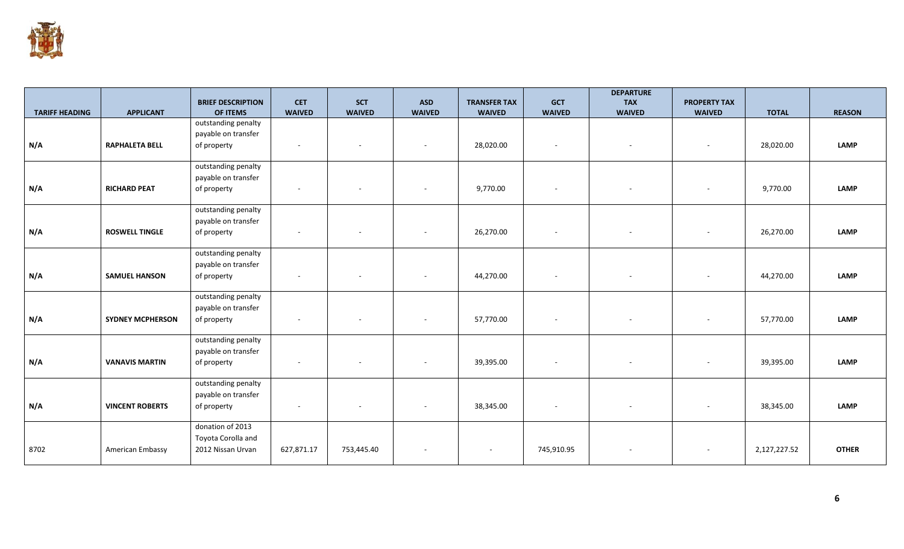

|                       |                         |                                      |                             |                             |                             |                                      |                             | <b>DEPARTURE</b>            |                                      |              |               |
|-----------------------|-------------------------|--------------------------------------|-----------------------------|-----------------------------|-----------------------------|--------------------------------------|-----------------------------|-----------------------------|--------------------------------------|--------------|---------------|
| <b>TARIFF HEADING</b> | <b>APPLICANT</b>        | <b>BRIEF DESCRIPTION</b><br>OF ITEMS | <b>CET</b><br><b>WAIVED</b> | <b>SCT</b><br><b>WAIVED</b> | <b>ASD</b><br><b>WAIVED</b> | <b>TRANSFER TAX</b><br><b>WAIVED</b> | <b>GCT</b><br><b>WAIVED</b> | <b>TAX</b><br><b>WAIVED</b> | <b>PROPERTY TAX</b><br><b>WAIVED</b> | <b>TOTAL</b> | <b>REASON</b> |
|                       |                         | outstanding penalty                  |                             |                             |                             |                                      |                             |                             |                                      |              |               |
|                       |                         | payable on transfer                  |                             |                             |                             |                                      |                             |                             |                                      |              |               |
| N/A                   | <b>RAPHALETA BELL</b>   | of property                          | $\sim$                      | $\overline{\phantom{a}}$    |                             | 28,020.00                            | $\sim$                      | $\sim$                      | $\overline{\phantom{a}}$             | 28,020.00    | <b>LAMP</b>   |
|                       |                         |                                      |                             |                             |                             |                                      |                             |                             |                                      |              |               |
|                       |                         | outstanding penalty                  |                             |                             |                             |                                      |                             |                             |                                      |              |               |
| N/A                   | <b>RICHARD PEAT</b>     | payable on transfer<br>of property   | $\overline{\phantom{a}}$    | $\overline{\phantom{m}}$    |                             | 9,770.00                             |                             | $\sim$                      | $\sim$                               | 9,770.00     | <b>LAMP</b>   |
|                       |                         |                                      |                             |                             |                             |                                      |                             |                             |                                      |              |               |
|                       |                         | outstanding penalty                  |                             |                             |                             |                                      |                             |                             |                                      |              |               |
|                       |                         | payable on transfer                  |                             |                             |                             |                                      |                             |                             |                                      |              |               |
| N/A                   | <b>ROSWELL TINGLE</b>   | of property                          | $\overline{\phantom{a}}$    | $\overline{\phantom{a}}$    |                             | 26,270.00                            |                             | $\sim$                      | $\overline{\phantom{a}}$             | 26,270.00    | <b>LAMP</b>   |
|                       |                         | outstanding penalty                  |                             |                             |                             |                                      |                             |                             |                                      |              |               |
|                       |                         | payable on transfer                  |                             |                             |                             |                                      |                             |                             |                                      |              |               |
| N/A                   | <b>SAMUEL HANSON</b>    | of property                          | $\overline{\phantom{a}}$    |                             |                             | 44,270.00                            | $\sim$                      | $\sim$                      | $\sim$                               | 44,270.00    | <b>LAMP</b>   |
|                       |                         |                                      |                             |                             |                             |                                      |                             |                             |                                      |              |               |
|                       |                         | outstanding penalty                  |                             |                             |                             |                                      |                             |                             |                                      |              |               |
|                       |                         | payable on transfer                  |                             |                             |                             |                                      |                             |                             |                                      |              |               |
| N/A                   | <b>SYDNEY MCPHERSON</b> | of property                          |                             |                             |                             | 57,770.00                            |                             | $\overline{\phantom{a}}$    | $\overline{\phantom{a}}$             | 57,770.00    | <b>LAMP</b>   |
|                       |                         | outstanding penalty                  |                             |                             |                             |                                      |                             |                             |                                      |              |               |
|                       |                         | payable on transfer                  |                             |                             |                             |                                      |                             |                             |                                      |              |               |
| N/A                   | <b>VANAVIS MARTIN</b>   | of property                          | $\overline{\phantom{a}}$    |                             |                             | 39,395.00                            |                             | $\sim$                      | $\overline{\phantom{a}}$             | 39,395.00    | <b>LAMP</b>   |
|                       |                         |                                      |                             |                             |                             |                                      |                             |                             |                                      |              |               |
|                       |                         | outstanding penalty                  |                             |                             |                             |                                      |                             |                             |                                      |              |               |
|                       |                         | payable on transfer                  |                             |                             |                             |                                      |                             |                             |                                      |              |               |
| N/A                   | <b>VINCENT ROBERTS</b>  | of property                          | $\sim$                      |                             |                             | 38,345.00                            |                             |                             |                                      | 38,345.00    | <b>LAMP</b>   |
|                       |                         | donation of 2013                     |                             |                             |                             |                                      |                             |                             |                                      |              |               |
|                       |                         | Toyota Corolla and                   |                             |                             |                             |                                      |                             |                             |                                      |              |               |
| 8702                  | American Embassy        | 2012 Nissan Urvan                    | 627,871.17                  | 753,445.40                  |                             |                                      | 745,910.95                  |                             |                                      | 2,127,227.52 | <b>OTHER</b>  |
|                       |                         |                                      |                             |                             |                             |                                      |                             |                             |                                      |              |               |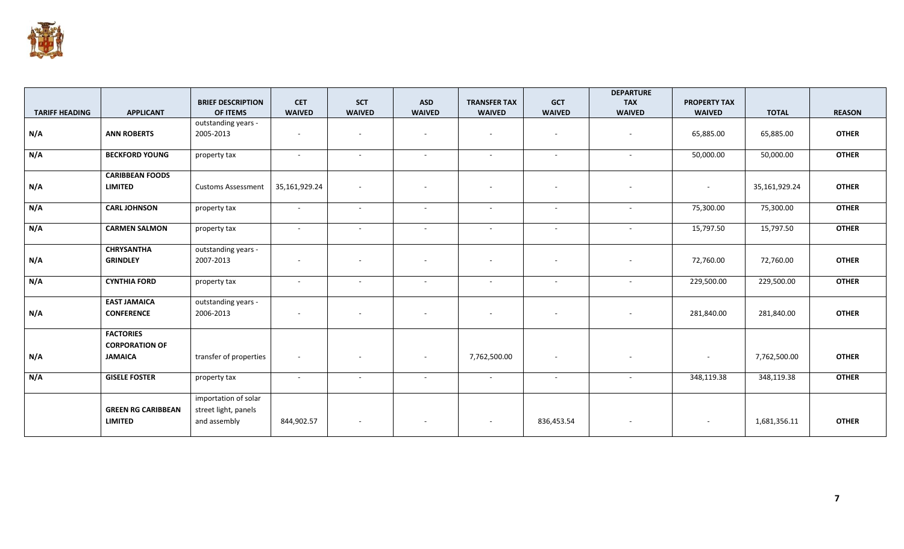

|                       |                           |                           |               |                          |                          |                          |                          | <b>DEPARTURE</b>         |                     |               |               |
|-----------------------|---------------------------|---------------------------|---------------|--------------------------|--------------------------|--------------------------|--------------------------|--------------------------|---------------------|---------------|---------------|
|                       |                           | <b>BRIEF DESCRIPTION</b>  | <b>CET</b>    | <b>SCT</b>               | <b>ASD</b>               | <b>TRANSFER TAX</b>      | <b>GCT</b>               | <b>TAX</b>               | <b>PROPERTY TAX</b> |               |               |
| <b>TARIFF HEADING</b> | <b>APPLICANT</b>          | OF ITEMS                  | <b>WAIVED</b> | <b>WAIVED</b>            | <b>WAIVED</b>            | <b>WAIVED</b>            | <b>WAIVED</b>            | <b>WAIVED</b>            | <b>WAIVED</b>       | <b>TOTAL</b>  | <b>REASON</b> |
|                       |                           | outstanding years -       |               |                          |                          |                          |                          |                          |                     |               |               |
| N/A                   | <b>ANN ROBERTS</b>        | 2005-2013                 | $\sim$        | $\sim$                   |                          | $\overline{\phantom{a}}$ | ٠                        |                          | 65,885.00           | 65,885.00     | <b>OTHER</b>  |
|                       |                           |                           |               |                          |                          |                          |                          |                          |                     |               |               |
| N/A                   | <b>BECKFORD YOUNG</b>     | property tax              | $\sim$        | $\sim$                   | $\sim$                   | $\sim$                   | $\sim$                   | $\sim$                   | 50,000.00           | 50,000.00     | <b>OTHER</b>  |
|                       | <b>CARIBBEAN FOODS</b>    |                           |               |                          |                          |                          |                          |                          |                     |               |               |
|                       |                           |                           |               |                          |                          |                          |                          |                          |                     |               |               |
| N/A                   | <b>LIMITED</b>            | <b>Customs Assessment</b> | 35,161,929.24 | $\sim$                   | $\overline{\phantom{a}}$ | $\overline{\phantom{a}}$ | $\overline{\phantom{a}}$ | $\sim$                   | $\sim$              | 35,161,929.24 | <b>OTHER</b>  |
| N/A                   | <b>CARL JOHNSON</b>       | property tax              | $\sim$        | $\sim$                   | $\sim$                   | $\sim$                   | $\sim$                   | $\sim$                   | 75,300.00           | 75,300.00     | <b>OTHER</b>  |
|                       |                           |                           |               |                          |                          |                          |                          |                          |                     |               |               |
| N/A                   | <b>CARMEN SALMON</b>      | property tax              | $\sim$        | $\sim$                   | $\sim$                   | $\sim$                   | $\sim$                   | $\sim$                   | 15,797.50           | 15,797.50     | <b>OTHER</b>  |
|                       |                           |                           |               |                          |                          |                          |                          |                          |                     |               |               |
|                       | <b>CHRYSANTHA</b>         | outstanding years -       |               |                          |                          |                          |                          |                          |                     |               |               |
| N/A                   | <b>GRINDLEY</b>           | 2007-2013                 | $\sim$        |                          |                          | $\overline{\phantom{a}}$ | $\overline{\phantom{a}}$ |                          | 72,760.00           | 72,760.00     | <b>OTHER</b>  |
|                       |                           |                           |               |                          |                          |                          |                          |                          |                     |               |               |
| N/A                   | <b>CYNTHIA FORD</b>       | property tax              | $\sim$        | $\sim$                   | $\sim$                   | $\sim$                   | $\sim$                   | $\sim$                   | 229,500.00          | 229,500.00    | <b>OTHER</b>  |
|                       |                           |                           |               |                          |                          |                          |                          |                          |                     |               |               |
|                       | <b>EAST JAMAICA</b>       | outstanding years -       |               |                          |                          |                          |                          |                          |                     |               |               |
| N/A                   | <b>CONFERENCE</b>         | 2006-2013                 | $\sim$        | $\overline{\phantom{a}}$ | $\sim$                   | $\overline{\phantom{a}}$ | $\overline{\phantom{a}}$ | $\overline{\phantom{a}}$ | 281,840.00          | 281,840.00    | <b>OTHER</b>  |
|                       |                           |                           |               |                          |                          |                          |                          |                          |                     |               |               |
|                       | <b>FACTORIES</b>          |                           |               |                          |                          |                          |                          |                          |                     |               |               |
|                       | <b>CORPORATION OF</b>     |                           |               |                          |                          |                          |                          |                          |                     |               |               |
| N/A                   | <b>JAMAICA</b>            | transfer of properties    | $\sim$        | $\sim$                   | $\sim$                   | 7,762,500.00             | $\sim$                   | $\sim$                   | $\sim$              | 7,762,500.00  | <b>OTHER</b>  |
|                       |                           |                           |               |                          |                          |                          |                          |                          |                     |               |               |
| N/A                   | <b>GISELE FOSTER</b>      | property tax              | $\sim$        | $\overline{\phantom{a}}$ | $\sim$                   | $\sim$                   | $\sim$                   | $\sim$                   | 348,119.38          | 348,119.38    | <b>OTHER</b>  |
|                       |                           |                           |               |                          |                          |                          |                          |                          |                     |               |               |
|                       |                           | importation of solar      |               |                          |                          |                          |                          |                          |                     |               |               |
|                       | <b>GREEN RG CARIBBEAN</b> | street light, panels      |               |                          |                          |                          |                          |                          |                     |               |               |
|                       | <b>LIMITED</b>            | and assembly              | 844,902.57    |                          |                          | $\overline{\phantom{a}}$ | 836,453.54               |                          | $\sim$              | 1,681,356.11  | <b>OTHER</b>  |
|                       |                           |                           |               |                          |                          |                          |                          |                          |                     |               |               |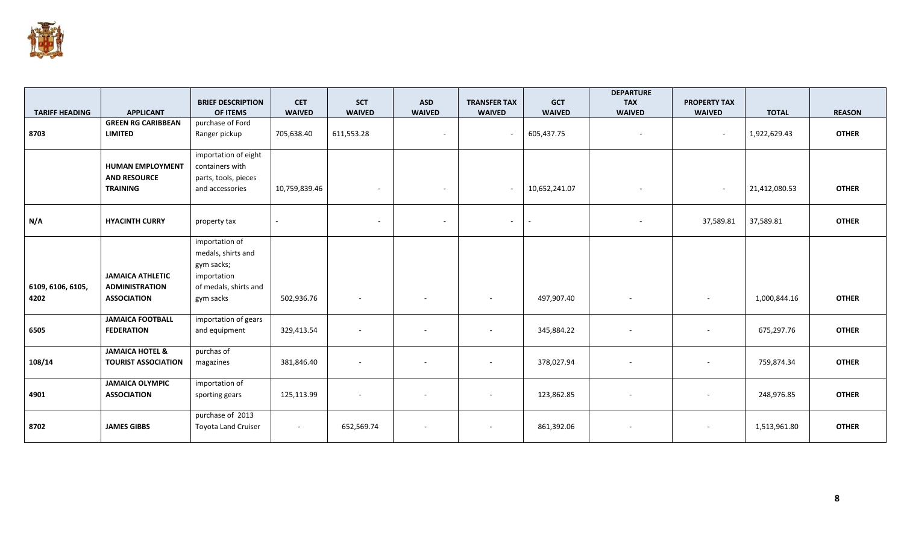

|                       |                            | <b>BRIEF DESCRIPTION</b>   | <b>CET</b>    | <b>SCT</b>               | <b>ASD</b>     | <b>TRANSFER TAX</b>      | <b>GCT</b>    | <b>DEPARTURE</b><br><b>TAX</b> | <b>PROPERTY TAX</b>      |               |               |
|-----------------------|----------------------------|----------------------------|---------------|--------------------------|----------------|--------------------------|---------------|--------------------------------|--------------------------|---------------|---------------|
| <b>TARIFF HEADING</b> | <b>APPLICANT</b>           | OF ITEMS                   | <b>WAIVED</b> | <b>WAIVED</b>            | <b>WAIVED</b>  | <b>WAIVED</b>            | <b>WAIVED</b> | <b>WAIVED</b>                  | <b>WAIVED</b>            | <b>TOTAL</b>  | <b>REASON</b> |
|                       | <b>GREEN RG CARIBBEAN</b>  | purchase of Ford           |               |                          |                |                          |               |                                |                          |               |               |
| 8703                  | <b>LIMITED</b>             | Ranger pickup              | 705,638.40    | 611,553.28               | $\sim$         | $\sim$                   | 605,437.75    | $\overline{\phantom{a}}$       | $\sim$                   | 1,922,629.43  | <b>OTHER</b>  |
|                       |                            | importation of eight       |               |                          |                |                          |               |                                |                          |               |               |
|                       | <b>HUMAN EMPLOYMENT</b>    | containers with            |               |                          |                |                          |               |                                |                          |               |               |
|                       | <b>AND RESOURCE</b>        | parts, tools, pieces       |               |                          |                |                          |               |                                |                          |               |               |
|                       | <b>TRAINING</b>            | and accessories            | 10,759,839.46 | $\overline{a}$           | $\sim$         | $\sim$                   | 10,652,241.07 | $\overline{\phantom{a}}$       | $\sim$                   | 21,412,080.53 | <b>OTHER</b>  |
|                       |                            |                            |               |                          |                |                          |               |                                |                          |               |               |
| N/A                   | <b>HYACINTH CURRY</b>      | property tax               |               | $\sim$                   | $\blacksquare$ | $\sim$                   |               | $\overline{\phantom{a}}$       | 37,589.81                | 37,589.81     | <b>OTHER</b>  |
|                       |                            |                            |               |                          |                |                          |               |                                |                          |               |               |
|                       |                            | importation of             |               |                          |                |                          |               |                                |                          |               |               |
|                       |                            | medals, shirts and         |               |                          |                |                          |               |                                |                          |               |               |
|                       |                            | gym sacks;                 |               |                          |                |                          |               |                                |                          |               |               |
|                       | <b>JAMAICA ATHLETIC</b>    | importation                |               |                          |                |                          |               |                                |                          |               |               |
| 6109, 6106, 6105,     | <b>ADMINISTRATION</b>      | of medals, shirts and      |               |                          |                |                          |               |                                |                          |               |               |
| 4202                  | <b>ASSOCIATION</b>         | gym sacks                  | 502,936.76    | $\overline{\phantom{a}}$ |                | $\overline{\phantom{a}}$ | 497,907.40    | $\sim$                         | $\sim$                   | 1,000,844.16  | <b>OTHER</b>  |
|                       | <b>JAMAICA FOOTBALL</b>    | importation of gears       |               |                          |                |                          |               |                                |                          |               |               |
| 6505                  | <b>FEDERATION</b>          | and equipment              | 329,413.54    |                          |                | $\overline{\phantom{a}}$ | 345,884.22    | $\overline{\phantom{a}}$       | $\sim$                   | 675,297.76    | <b>OTHER</b>  |
|                       | <b>JAMAICA HOTEL &amp;</b> | purchas of                 |               |                          |                |                          |               |                                |                          |               |               |
| 108/14                | <b>TOURIST ASSOCIATION</b> | magazines                  | 381,846.40    |                          |                | $\blacksquare$           | 378,027.94    | $\sim$                         | $\overline{\phantom{a}}$ | 759,874.34    | <b>OTHER</b>  |
|                       |                            |                            |               |                          |                |                          |               |                                |                          |               |               |
|                       | <b>JAMAICA OLYMPIC</b>     | importation of             |               |                          |                |                          |               |                                |                          |               |               |
| 4901                  | <b>ASSOCIATION</b>         | sporting gears             | 125,113.99    | $\sim$                   | $\sim$         | $\overline{\phantom{a}}$ | 123,862.85    | $\sim$                         | $\sim$                   | 248,976.85    | <b>OTHER</b>  |
|                       |                            | purchase of 2013           |               |                          |                |                          |               |                                |                          |               |               |
| 8702                  | <b>JAMES GIBBS</b>         | <b>Toyota Land Cruiser</b> | $\sim$        | 652,569.74               | $\sim$         | $\overline{\phantom{a}}$ | 861,392.06    |                                | $\sim$                   | 1,513,961.80  | <b>OTHER</b>  |
|                       |                            |                            |               |                          |                |                          |               |                                |                          |               |               |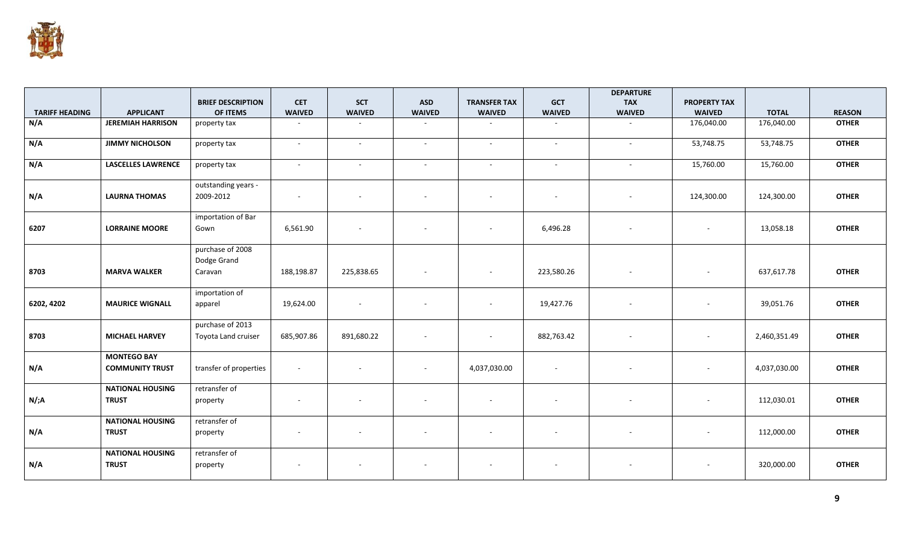

|                       |                                              |                                            |                          |                          |                          |                          |               | <b>DEPARTURE</b>         |                          |              |               |
|-----------------------|----------------------------------------------|--------------------------------------------|--------------------------|--------------------------|--------------------------|--------------------------|---------------|--------------------------|--------------------------|--------------|---------------|
|                       |                                              | <b>BRIEF DESCRIPTION</b>                   | <b>CET</b>               | <b>SCT</b>               | <b>ASD</b>               | <b>TRANSFER TAX</b>      | <b>GCT</b>    | <b>TAX</b>               | <b>PROPERTY TAX</b>      |              |               |
| <b>TARIFF HEADING</b> | <b>APPLICANT</b>                             | OF ITEMS                                   | <b>WAIVED</b>            | <b>WAIVED</b>            | <b>WAIVED</b>            | <b>WAIVED</b>            | <b>WAIVED</b> | <b>WAIVED</b>            | <b>WAIVED</b>            | <b>TOTAL</b> | <b>REASON</b> |
| N/A                   | <b>JEREMIAH HARRISON</b>                     | property tax                               | $\sim$                   | $\sim$                   | $\sim$                   | $\sim$                   | $\sim$        | $\sim$                   | 176,040.00               | 176,040.00   | <b>OTHER</b>  |
| N/A                   | <b>JIMMY NICHOLSON</b>                       | property tax                               | $\sim$                   | $\sim$                   | $\sim$                   | $\sim$                   | $\sim$        | $\sim$                   | 53,748.75                | 53,748.75    | <b>OTHER</b>  |
| N/A                   | <b>LASCELLES LAWRENCE</b>                    | property tax                               | $\sim$                   | $\sim$                   | $\sim$                   | $\sim$                   | $\sim$        | $\sim$                   | 15,760.00                | 15,760.00    | <b>OTHER</b>  |
| N/A                   | <b>LAURNA THOMAS</b>                         | outstanding years -<br>2009-2012           | $\overline{\phantom{a}}$ | $\sim$                   |                          | $\overline{\phantom{a}}$ |               | $\overline{\phantom{a}}$ | 124,300.00               | 124,300.00   | <b>OTHER</b>  |
| 6207                  | <b>LORRAINE MOORE</b>                        | importation of Bar<br>Gown                 | 6,561.90                 | $\sim$                   | $\sim$                   | $\overline{\phantom{a}}$ | 6,496.28      | $\overline{\phantom{a}}$ | $\overline{\phantom{a}}$ | 13,058.18    | <b>OTHER</b>  |
| 8703                  | <b>MARVA WALKER</b>                          | purchase of 2008<br>Dodge Grand<br>Caravan | 188,198.87               | 225,838.65               | $\sim$                   | $\overline{\phantom{a}}$ | 223,580.26    |                          |                          | 637,617.78   | <b>OTHER</b>  |
| 6202, 4202            | <b>MAURICE WIGNALL</b>                       | importation of<br>apparel                  | 19,624.00                | $\sim$                   | $\sim$                   | $\overline{\phantom{a}}$ | 19,427.76     | $\sim$                   | $\overline{\phantom{a}}$ | 39,051.76    | <b>OTHER</b>  |
| 8703                  | <b>MICHAEL HARVEY</b>                        | purchase of 2013<br>Toyota Land cruiser    | 685,907.86               | 891,680.22               | $\sim$                   | $\overline{\phantom{a}}$ | 882,763.42    |                          | $\overline{\phantom{a}}$ | 2,460,351.49 | <b>OTHER</b>  |
| N/A                   | <b>MONTEGO BAY</b><br><b>COMMUNITY TRUST</b> | transfer of properties                     | $\sim$                   | $\sim$                   | $\overline{\phantom{a}}$ | 4,037,030.00             | $\sim$        |                          | $\overline{\phantom{a}}$ | 4,037,030.00 | <b>OTHER</b>  |
| N/;A                  | <b>NATIONAL HOUSING</b><br><b>TRUST</b>      | retransfer of<br>property                  | $\sim$                   | $\overline{\phantom{a}}$ |                          | $\overline{\phantom{a}}$ |               |                          | $\overline{\phantom{a}}$ | 112,030.01   | <b>OTHER</b>  |
| N/A                   | <b>NATIONAL HOUSING</b><br><b>TRUST</b>      | retransfer of<br>property                  | $\sim$                   | $\sim$                   | $\sim$                   | $\overline{\phantom{a}}$ |               | $\overline{\phantom{a}}$ | $\overline{\phantom{a}}$ | 112,000.00   | <b>OTHER</b>  |
| N/A                   | <b>NATIONAL HOUSING</b><br><b>TRUST</b>      | retransfer of<br>property                  |                          |                          |                          |                          |               |                          |                          | 320,000.00   | <b>OTHER</b>  |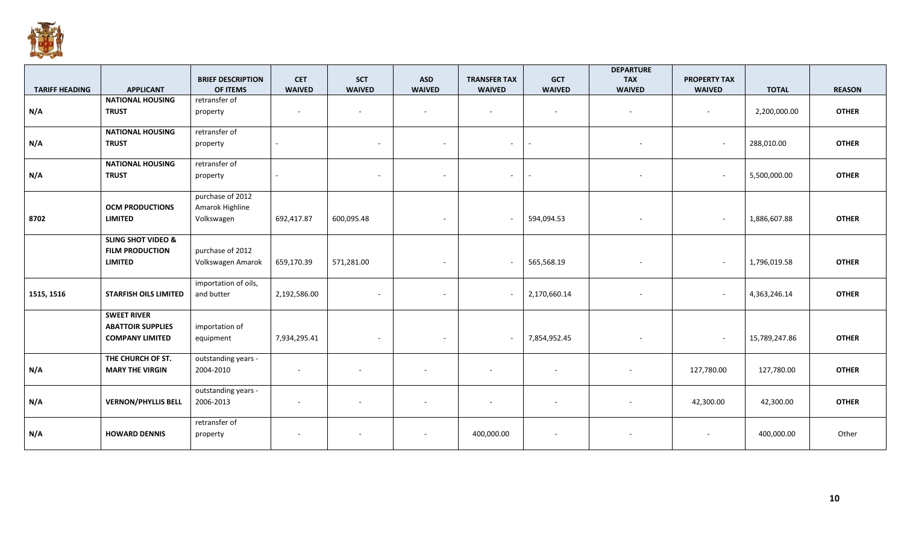

|                       |                               | <b>BRIEF DESCRIPTION</b> | <b>CET</b>               | <b>SCT</b>               | <b>ASD</b>               | <b>TRANSFER TAX</b>      | <b>GCT</b>               | <b>DEPARTURE</b><br><b>TAX</b> | <b>PROPERTY TAX</b>      |               |               |
|-----------------------|-------------------------------|--------------------------|--------------------------|--------------------------|--------------------------|--------------------------|--------------------------|--------------------------------|--------------------------|---------------|---------------|
| <b>TARIFF HEADING</b> | <b>APPLICANT</b>              | OF ITEMS                 | <b>WAIVED</b>            | <b>WAIVED</b>            | <b>WAIVED</b>            | <b>WAIVED</b>            | <b>WAIVED</b>            | <b>WAIVED</b>                  | <b>WAIVED</b>            | <b>TOTAL</b>  | <b>REASON</b> |
|                       | <b>NATIONAL HOUSING</b>       | retransfer of            |                          |                          |                          |                          |                          |                                |                          |               |               |
| N/A                   | <b>TRUST</b>                  | property                 | $\overline{\phantom{a}}$ | $\sim$                   | $\sim$                   | $\sim$                   | $\overline{\phantom{a}}$ | $\sim$                         | $\sim$                   | 2,200,000.00  | <b>OTHER</b>  |
|                       | <b>NATIONAL HOUSING</b>       | retransfer of            |                          |                          |                          |                          |                          |                                |                          |               |               |
| N/A                   | <b>TRUST</b>                  | property                 |                          | $\sim$                   | $\sim$                   | $\sim$                   | ÷.                       |                                | $\overline{\phantom{a}}$ | 288,010.00    | <b>OTHER</b>  |
|                       | <b>NATIONAL HOUSING</b>       | retransfer of            |                          |                          |                          |                          |                          |                                |                          |               |               |
| N/A                   | <b>TRUST</b>                  | property                 |                          | $\overline{\phantom{a}}$ | $\sim$                   | $\sim$ $-$               | $\sim$                   | $\overline{\phantom{a}}$       | $\sim$                   | 5,500,000.00  | <b>OTHER</b>  |
|                       |                               | purchase of 2012         |                          |                          |                          |                          |                          |                                |                          |               |               |
|                       | <b>OCM PRODUCTIONS</b>        | Amarok Highline          |                          |                          |                          |                          |                          |                                |                          |               |               |
| 8702                  | <b>LIMITED</b>                | Volkswagen               | 692,417.87               | 600,095.48               | $\sim$                   | $\sim$                   | 594,094.53               | $\overline{\phantom{a}}$       | $\sim$                   | 1,886,607.88  | <b>OTHER</b>  |
|                       | <b>SLING SHOT VIDEO &amp;</b> |                          |                          |                          |                          |                          |                          |                                |                          |               |               |
|                       | <b>FILM PRODUCTION</b>        | purchase of 2012         |                          |                          |                          |                          |                          |                                |                          |               |               |
|                       | <b>LIMITED</b>                | Volkswagen Amarok        | 659,170.39               | 571,281.00               | $\sim$                   | $\sim$                   | 565,568.19               | $\blacksquare$                 | $\sim$                   | 1,796,019.58  | <b>OTHER</b>  |
|                       |                               | importation of oils,     |                          |                          |                          |                          |                          |                                |                          |               |               |
| 1515, 1516            | <b>STARFISH OILS LIMITED</b>  | and butter               | 2,192,586.00             | $\overline{\phantom{a}}$ | $\sim$                   | $\sim$                   | 2,170,660.14             | $\overline{\phantom{a}}$       | $\overline{\phantom{a}}$ | 4,363,246.14  | <b>OTHER</b>  |
|                       | <b>SWEET RIVER</b>            |                          |                          |                          |                          |                          |                          |                                |                          |               |               |
|                       | <b>ABATTOIR SUPPLIES</b>      | importation of           |                          |                          |                          |                          |                          |                                |                          |               |               |
|                       | <b>COMPANY LIMITED</b>        | equipment                | 7,934,295.41             | $\sim$                   | $\sim$                   | $\sim$                   | 7,854,952.45             | $\blacksquare$                 | $\sim$                   | 15,789,247.86 | <b>OTHER</b>  |
|                       | THE CHURCH OF ST.             | outstanding years -      |                          |                          |                          |                          |                          |                                |                          |               |               |
| N/A                   | <b>MARY THE VIRGIN</b>        | 2004-2010                | $\overline{\phantom{a}}$ |                          |                          | $\overline{\phantom{a}}$ | $\sim$                   |                                | 127,780.00               | 127,780.00    | <b>OTHER</b>  |
|                       |                               | outstanding years -      |                          |                          |                          |                          |                          |                                |                          |               |               |
| N/A                   | <b>VERNON/PHYLLIS BELL</b>    | 2006-2013                | $\overline{\phantom{a}}$ |                          | $\sim$                   | $\sim$                   | $\overline{\phantom{a}}$ |                                | 42,300.00                | 42,300.00     | <b>OTHER</b>  |
|                       |                               | retransfer of            |                          |                          |                          |                          |                          |                                |                          |               |               |
| N/A                   | <b>HOWARD DENNIS</b>          | property                 |                          |                          | $\overline{\phantom{a}}$ | 400,000.00               | $\sim$                   |                                | $\overline{\phantom{a}}$ | 400,000.00    | Other         |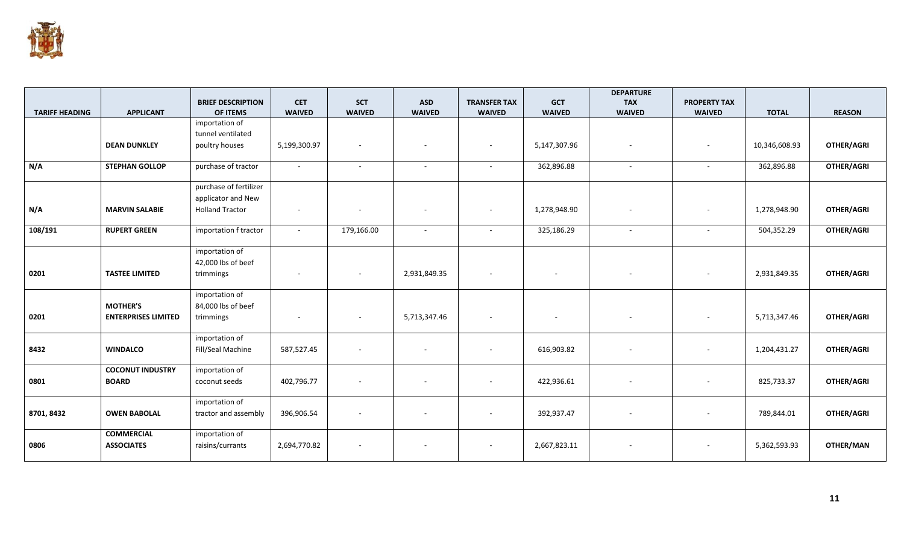

|                       |                            |                          |                          |                          |               |                          |                          | <b>DEPARTURE</b>         |                     |               |                   |
|-----------------------|----------------------------|--------------------------|--------------------------|--------------------------|---------------|--------------------------|--------------------------|--------------------------|---------------------|---------------|-------------------|
|                       |                            | <b>BRIEF DESCRIPTION</b> | <b>CET</b>               | <b>SCT</b>               | <b>ASD</b>    | <b>TRANSFER TAX</b>      | <b>GCT</b>               | <b>TAX</b>               | <b>PROPERTY TAX</b> |               |                   |
| <b>TARIFF HEADING</b> | <b>APPLICANT</b>           | OF ITEMS                 | <b>WAIVED</b>            | <b>WAIVED</b>            | <b>WAIVED</b> | <b>WAIVED</b>            | <b>WAIVED</b>            | <b>WAIVED</b>            | <b>WAIVED</b>       | <b>TOTAL</b>  | <b>REASON</b>     |
|                       |                            | importation of           |                          |                          |               |                          |                          |                          |                     |               |                   |
|                       |                            | tunnel ventilated        |                          |                          |               |                          |                          |                          |                     |               |                   |
|                       | <b>DEAN DUNKLEY</b>        | poultry houses           | 5,199,300.97             | $\sim$                   |               | $\overline{\phantom{a}}$ | 5,147,307.96             | $\sim$                   | $\sim$              | 10,346,608.93 | <b>OTHER/AGRI</b> |
|                       |                            |                          |                          |                          |               |                          |                          |                          |                     |               |                   |
| N/A                   | <b>STEPHAN GOLLOP</b>      | purchase of tractor      | $\sim$                   | $\sim$                   | $\sim$        | $\sim$                   | 362,896.88               | $\sim$                   | $\sim$              | 362,896.88    | <b>OTHER/AGRI</b> |
|                       |                            |                          |                          |                          |               |                          |                          |                          |                     |               |                   |
|                       |                            | purchase of fertilizer   |                          |                          |               |                          |                          |                          |                     |               |                   |
|                       |                            | applicator and New       |                          |                          |               |                          |                          |                          |                     |               |                   |
| N/A                   | <b>MARVIN SALABIE</b>      | <b>Holland Tractor</b>   | $\overline{\phantom{a}}$ | $\sim$                   |               | $\overline{\phantom{a}}$ | 1,278,948.90             |                          |                     | 1,278,948.90  | <b>OTHER/AGRI</b> |
|                       |                            |                          |                          |                          |               |                          |                          |                          |                     |               |                   |
| 108/191               | <b>RUPERT GREEN</b>        | importation f tractor    | $\sim$                   | 179,166.00               | $\sim$        | $\sim$                   | 325,186.29               | $\sim$                   | $\sim$              | 504,352.29    | <b>OTHER/AGRI</b> |
|                       |                            |                          |                          |                          |               |                          |                          |                          |                     |               |                   |
|                       |                            | importation of           |                          |                          |               |                          |                          |                          |                     |               |                   |
|                       |                            | 42,000 lbs of beef       |                          |                          |               |                          |                          |                          |                     |               |                   |
| 0201                  | <b>TASTEE LIMITED</b>      | trimmings                | $\overline{\phantom{a}}$ | $\overline{\phantom{a}}$ | 2,931,849.35  | $\sim$                   | $\sim$                   |                          |                     | 2,931,849.35  | OTHER/AGRI        |
|                       |                            |                          |                          |                          |               |                          |                          |                          |                     |               |                   |
|                       |                            | importation of           |                          |                          |               |                          |                          |                          |                     |               |                   |
|                       | <b>MOTHER'S</b>            | 84,000 lbs of beef       |                          |                          |               |                          |                          |                          |                     |               |                   |
| 0201                  | <b>ENTERPRISES LIMITED</b> | trimmings                |                          | $\overline{\phantom{a}}$ | 5,713,347.46  | $\overline{\phantom{a}}$ | $\overline{\phantom{a}}$ | $\overline{\phantom{a}}$ |                     | 5,713,347.46  | OTHER/AGRI        |
|                       |                            |                          |                          |                          |               |                          |                          |                          |                     |               |                   |
|                       |                            | importation of           |                          |                          |               |                          |                          |                          |                     |               |                   |
| 8432                  | <b>WINDALCO</b>            | Fill/Seal Machine        | 587,527.45               |                          |               | $\overline{\phantom{a}}$ | 616,903.82               |                          |                     | 1,204,431.27  | <b>OTHER/AGRI</b> |
|                       |                            |                          |                          |                          |               |                          |                          |                          |                     |               |                   |
|                       | <b>COCONUT INDUSTRY</b>    | importation of           |                          |                          |               |                          |                          |                          |                     |               |                   |
| 0801                  | <b>BOARD</b>               | coconut seeds            | 402,796.77               | $\sim$                   |               | $\overline{\phantom{a}}$ | 422,936.61               | $\sim$                   | $\sim$              | 825,733.37    | OTHER/AGRI        |
|                       |                            |                          |                          |                          |               |                          |                          |                          |                     |               |                   |
|                       |                            | importation of           |                          |                          |               |                          |                          |                          |                     |               |                   |
| 8701, 8432            | <b>OWEN BABOLAL</b>        | tractor and assembly     | 396,906.54               |                          |               | $\overline{\phantom{a}}$ | 392,937.47               |                          |                     | 789,844.01    | OTHER/AGRI        |
|                       |                            |                          |                          |                          |               |                          |                          |                          |                     |               |                   |
|                       | <b>COMMERCIAL</b>          | importation of           |                          |                          |               |                          |                          |                          |                     |               |                   |
| 0806                  | <b>ASSOCIATES</b>          | raisins/currants         | 2,694,770.82             | $\overline{\phantom{a}}$ | $\sim$        | $\overline{\phantom{a}}$ | 2,667,823.11             | $\sim$                   | $\sim$              | 5,362,593.93  | OTHER/MAN         |
|                       |                            |                          |                          |                          |               |                          |                          |                          |                     |               |                   |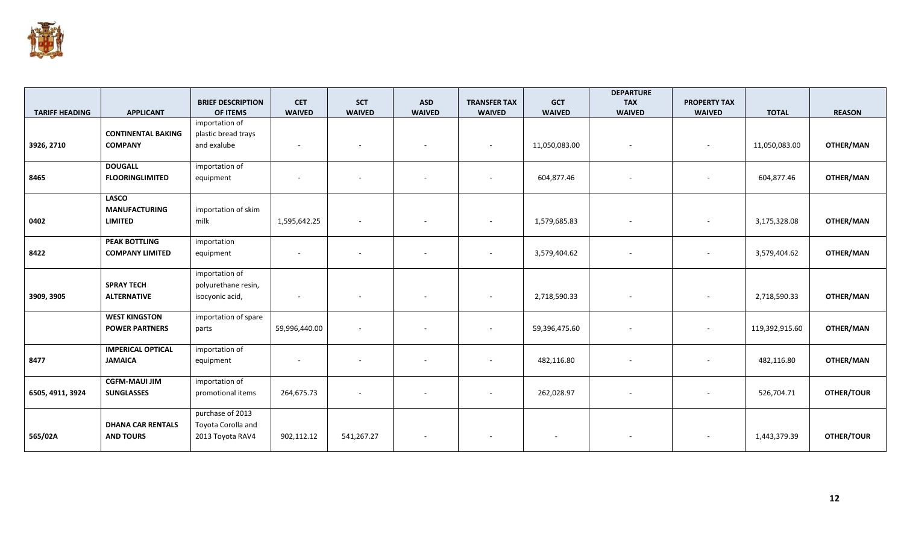

|                       |                           |                                      |                             |                             |                             |                                      |                             | <b>DEPARTURE</b>            |                                      |                |               |
|-----------------------|---------------------------|--------------------------------------|-----------------------------|-----------------------------|-----------------------------|--------------------------------------|-----------------------------|-----------------------------|--------------------------------------|----------------|---------------|
| <b>TARIFF HEADING</b> | <b>APPLICANT</b>          | <b>BRIEF DESCRIPTION</b><br>OF ITEMS | <b>CET</b><br><b>WAIVED</b> | <b>SCT</b><br><b>WAIVED</b> | <b>ASD</b><br><b>WAIVED</b> | <b>TRANSFER TAX</b><br><b>WAIVED</b> | <b>GCT</b><br><b>WAIVED</b> | <b>TAX</b><br><b>WAIVED</b> | <b>PROPERTY TAX</b><br><b>WAIVED</b> | <b>TOTAL</b>   | <b>REASON</b> |
|                       |                           | importation of                       |                             |                             |                             |                                      |                             |                             |                                      |                |               |
|                       | <b>CONTINENTAL BAKING</b> | plastic bread trays                  |                             |                             |                             |                                      |                             |                             |                                      |                |               |
| 3926, 2710            | <b>COMPANY</b>            | and exalube                          |                             | $\sim$                      |                             | $\sim$                               | 11,050,083.00               | $\sim$                      | $\overline{\phantom{a}}$             | 11,050,083.00  | OTHER/MAN     |
|                       | <b>DOUGALL</b>            | importation of                       |                             |                             |                             |                                      |                             |                             |                                      |                |               |
| 8465                  | <b>FLOORINGLIMITED</b>    | equipment                            |                             | $\overline{\phantom{a}}$    | $\sim$                      |                                      | 604,877.46                  | $\overline{\phantom{a}}$    | -                                    | 604,877.46     | OTHER/MAN     |
|                       | <b>LASCO</b>              |                                      |                             |                             |                             |                                      |                             |                             |                                      |                |               |
|                       | <b>MANUFACTURING</b>      | importation of skim<br>milk          |                             |                             |                             |                                      |                             |                             |                                      |                |               |
| 0402                  | <b>LIMITED</b>            |                                      | 1,595,642.25                | $\sim$                      | ۰                           | $\sim$                               | 1,579,685.83                | $\overline{\phantom{a}}$    | $\overline{\phantom{a}}$             | 3,175,328.08   | OTHER/MAN     |
|                       | <b>PEAK BOTTLING</b>      | importation                          |                             |                             |                             |                                      |                             |                             |                                      |                |               |
| 8422                  | <b>COMPANY LIMITED</b>    | equipment                            |                             | $\overline{\phantom{a}}$    | $\sim$                      |                                      | 3,579,404.62                | $\overline{\phantom{a}}$    | $\overline{\phantom{a}}$             | 3,579,404.62   | OTHER/MAN     |
|                       |                           | importation of                       |                             |                             |                             |                                      |                             |                             |                                      |                |               |
|                       | <b>SPRAY TECH</b>         | polyurethane resin,                  |                             |                             |                             |                                      |                             |                             |                                      |                |               |
| 3909, 3905            | <b>ALTERNATIVE</b>        | isocyonic acid,                      |                             |                             |                             |                                      | 2,718,590.33                |                             |                                      | 2,718,590.33   | OTHER/MAN     |
|                       | <b>WEST KINGSTON</b>      | importation of spare                 |                             |                             |                             |                                      |                             |                             |                                      |                |               |
|                       | <b>POWER PARTNERS</b>     | parts                                | 59,996,440.00               | $\sim$                      | $\sim$                      | $\sim$                               | 59,396,475.60               | $\overline{\phantom{a}}$    | $\sim$                               | 119,392,915.60 | OTHER/MAN     |
|                       | <b>IMPERICAL OPTICAL</b>  | importation of                       |                             |                             |                             |                                      |                             |                             |                                      |                |               |
| 8477                  | <b>JAMAICA</b>            | equipment                            |                             | $\sim$                      | $\sim$                      | $\overline{\phantom{0}}$             | 482,116.80                  | $\overline{\phantom{a}}$    | $\overline{\phantom{a}}$             | 482,116.80     | OTHER/MAN     |
|                       | <b>CGFM-MAUI JIM</b>      | importation of                       |                             |                             |                             |                                      |                             |                             |                                      |                |               |
| 6505, 4911, 3924      | <b>SUNGLASSES</b>         | promotional items                    | 264,675.73                  | $\sim$                      |                             |                                      | 262,028.97                  | $\blacksquare$              | ٠                                    | 526,704.71     | OTHER/TOUR    |
|                       |                           | purchase of 2013                     |                             |                             |                             |                                      |                             |                             |                                      |                |               |
|                       | <b>DHANA CAR RENTALS</b>  | Toyota Corolla and                   |                             |                             |                             |                                      |                             |                             |                                      |                |               |
| 565/02A               | <b>AND TOURS</b>          | 2013 Toyota RAV4                     | 902,112.12                  | 541,267.27                  |                             |                                      |                             |                             |                                      | 1,443,379.39   | OTHER/TOUR    |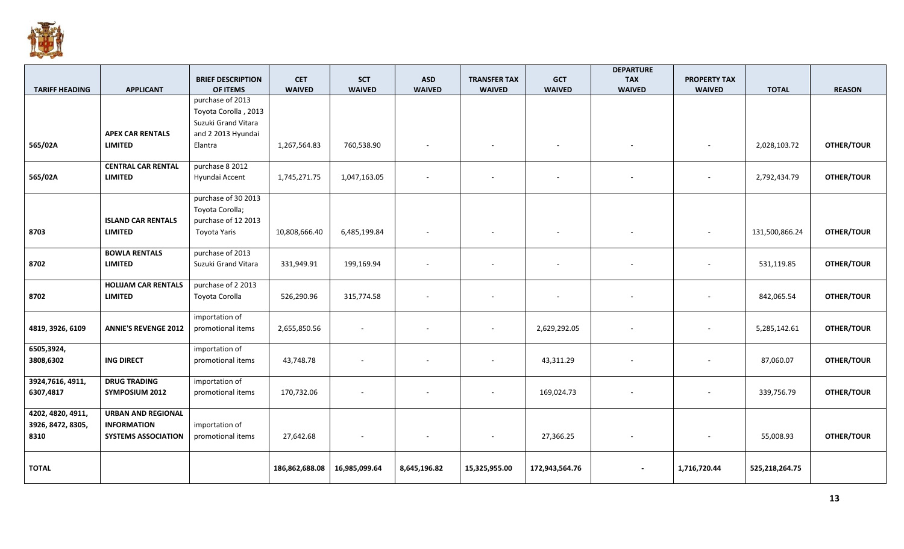

|                       |                             |                          |                |                          |                          |                          |                          | <b>DEPARTURE</b>         |                          |                |                   |
|-----------------------|-----------------------------|--------------------------|----------------|--------------------------|--------------------------|--------------------------|--------------------------|--------------------------|--------------------------|----------------|-------------------|
|                       |                             | <b>BRIEF DESCRIPTION</b> | <b>CET</b>     | <b>SCT</b>               | <b>ASD</b>               | <b>TRANSFER TAX</b>      | <b>GCT</b>               | <b>TAX</b>               | <b>PROPERTY TAX</b>      |                |                   |
| <b>TARIFF HEADING</b> | <b>APPLICANT</b>            | OF ITEMS                 | <b>WAIVED</b>  | <b>WAIVED</b>            | <b>WAIVED</b>            | <b>WAIVED</b>            | <b>WAIVED</b>            | <b>WAIVED</b>            | <b>WAIVED</b>            | <b>TOTAL</b>   | <b>REASON</b>     |
|                       |                             | purchase of 2013         |                |                          |                          |                          |                          |                          |                          |                |                   |
|                       |                             | Toyota Corolla, 2013     |                |                          |                          |                          |                          |                          |                          |                |                   |
|                       |                             | Suzuki Grand Vitara      |                |                          |                          |                          |                          |                          |                          |                |                   |
|                       | <b>APEX CAR RENTALS</b>     | and 2 2013 Hyundai       |                |                          |                          |                          |                          |                          |                          |                |                   |
| 565/02A               | <b>LIMITED</b>              | Elantra                  | 1,267,564.83   | 760,538.90               |                          |                          | $\overline{\phantom{a}}$ |                          | $\overline{\phantom{a}}$ | 2,028,103.72   | <b>OTHER/TOUR</b> |
|                       |                             |                          |                |                          |                          |                          |                          |                          |                          |                |                   |
|                       | <b>CENTRAL CAR RENTAL</b>   | purchase 8 2012          |                |                          |                          |                          |                          |                          |                          |                |                   |
| 565/02A               | <b>LIMITED</b>              | Hyundai Accent           | 1,745,271.75   | 1,047,163.05             |                          |                          |                          |                          |                          | 2,792,434.79   | <b>OTHER/TOUR</b> |
|                       |                             |                          |                |                          |                          |                          |                          |                          |                          |                |                   |
|                       |                             | purchase of 30 2013      |                |                          |                          |                          |                          |                          |                          |                |                   |
|                       |                             | Toyota Corolla;          |                |                          |                          |                          |                          |                          |                          |                |                   |
|                       | <b>ISLAND CAR RENTALS</b>   | purchase of 12 2013      |                |                          |                          |                          |                          |                          |                          |                |                   |
| 8703                  | <b>LIMITED</b>              | Toyota Yaris             | 10,808,666.40  | 6,485,199.84             |                          |                          |                          |                          |                          | 131,500,866.24 | OTHER/TOUR        |
|                       |                             |                          |                |                          |                          |                          |                          |                          |                          |                |                   |
|                       | <b>BOWLA RENTALS</b>        | purchase of 2013         |                |                          |                          |                          |                          |                          |                          |                |                   |
| 8702                  | <b>LIMITED</b>              | Suzuki Grand Vitara      | 331,949.91     | 199,169.94               |                          |                          | $\sim$                   |                          | $\overline{\phantom{a}}$ | 531,119.85     | <b>OTHER/TOUR</b> |
|                       |                             |                          |                |                          |                          |                          |                          |                          |                          |                |                   |
|                       | <b>HOLIJAM CAR RENTALS</b>  | purchase of 2 2013       |                |                          |                          |                          |                          |                          |                          |                |                   |
| 8702                  | <b>LIMITED</b>              | Toyota Corolla           | 526,290.96     | 315,774.58               |                          | $\overline{\phantom{a}}$ | $\overline{\phantom{a}}$ |                          | $\overline{\phantom{a}}$ | 842,065.54     | <b>OTHER/TOUR</b> |
|                       |                             |                          |                |                          |                          |                          |                          |                          |                          |                |                   |
|                       |                             | importation of           |                |                          |                          |                          |                          |                          |                          |                |                   |
| 4819, 3926, 6109      | <b>ANNIE'S REVENGE 2012</b> | promotional items        | 2,655,850.56   | $\overline{\phantom{a}}$ |                          |                          | 2,629,292.05             |                          | $\overline{\phantom{a}}$ | 5,285,142.61   | <b>OTHER/TOUR</b> |
|                       |                             |                          |                |                          |                          |                          |                          |                          |                          |                |                   |
| 6505,3924,            |                             | importation of           |                |                          |                          |                          |                          |                          |                          |                |                   |
| 3808,6302             | <b>ING DIRECT</b>           | promotional items        | 43,748.78      | $\sim$                   |                          | $\overline{\phantom{a}}$ | 43,311.29                | $\sim$                   | $\overline{\phantom{a}}$ | 87,060.07      | OTHER/TOUR        |
|                       |                             |                          |                |                          |                          |                          |                          |                          |                          |                |                   |
| 3924,7616, 4911,      | <b>DRUG TRADING</b>         | importation of           |                |                          |                          |                          |                          |                          |                          |                |                   |
| 6307,4817             | <b>SYMPOSIUM 2012</b>       | promotional items        | 170,732.06     |                          |                          |                          | 169,024.73               | $\sim$                   | $\sim$                   | 339,756.79     | OTHER/TOUR        |
|                       |                             |                          |                |                          |                          |                          |                          |                          |                          |                |                   |
| 4202, 4820, 4911,     | <b>URBAN AND REGIONAL</b>   |                          |                |                          |                          |                          |                          |                          |                          |                |                   |
| 3926, 8472, 8305,     | <b>INFORMATION</b>          | importation of           |                |                          |                          |                          |                          |                          |                          |                |                   |
| 8310                  | <b>SYSTEMS ASSOCIATION</b>  | promotional items        | 27,642.68      | $\overline{\phantom{a}}$ | $\overline{\phantom{a}}$ | $\overline{\phantom{a}}$ | 27,366.25                | $\sim$                   | $\overline{\phantom{a}}$ | 55,008.93      | <b>OTHER/TOUR</b> |
|                       |                             |                          |                |                          |                          |                          |                          |                          |                          |                |                   |
|                       |                             |                          |                |                          |                          |                          |                          |                          |                          |                |                   |
| <b>TOTAL</b>          |                             |                          | 186,862,688.08 | 16,985,099.64            | 8,645,196.82             | 15,325,955.00            | 172,943,564.76           | $\overline{\phantom{a}}$ | 1,716,720.44             | 525,218,264.75 |                   |
|                       |                             |                          |                |                          |                          |                          |                          |                          |                          |                |                   |